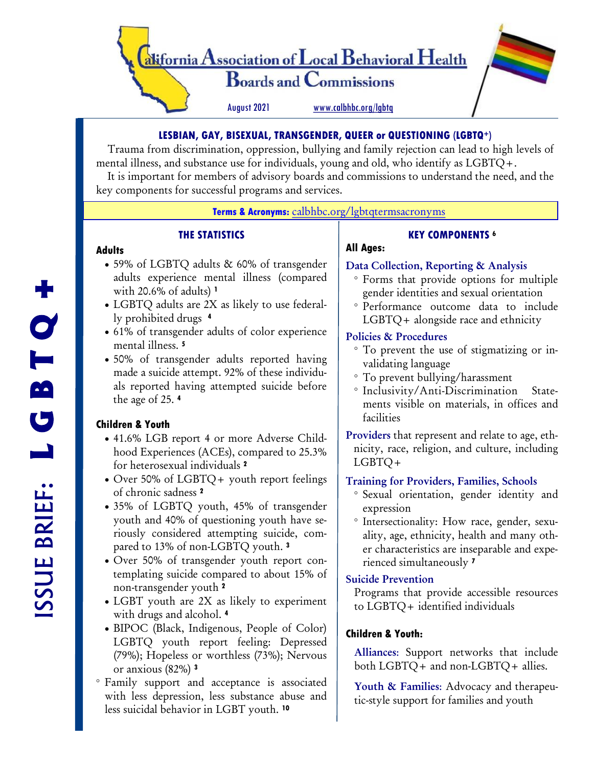

## **LESBIAN, GAY, BISEXUAL, TRANSGENDER, QUEER or QUESTIONING (LGBTQ+)**

 Trauma from discrimination, oppression, bullying and family rejection can lead to high levels of mental illness, and substance use for individuals, young and old, who identify as LGBTQ+.

 It is important for members of advisory boards and commissions to understand the need, and the key components for successful programs and services.

#### **Terms & Acronyms:** [calbhbc.org/lgbtqtermsacronyms](https://www.calbhbc.org/lgbtqtermssacronyms.html)

## **THE STATISTICS**

#### **Adults**

- 59% of LGBTQ adults & 60% of transgender adults experience mental illness (compared with 20.6% of adults) **<sup>1</sup>**
- LGBTQ adults are 2X as likely to use federally prohibited drugs **<sup>4</sup>**
- 61% of transgender adults of color experience mental illness. **<sup>5</sup>**
- 50% of transgender adults reported having made a suicide attempt. 92% of these individuals reported having attempted suicide before the age of 25. **<sup>4</sup>**

## **Children & Youth**

- 41.6% LGB report 4 or more Adverse Childhood Experiences (ACEs), compared to 25.3% for heterosexual individuals **<sup>2</sup>**
- Over 50% of LGBTQ+ youth report feelings of chronic sadness **<sup>2</sup>**
- 35% of LGBTQ youth, 45% of transgender youth and 40% of questioning youth have seriously considered attempting suicide, compared to 13% of non-LGBTQ youth. **<sup>3</sup>**
- Over 50% of transgender youth report contemplating suicide compared to about 15% of non-transgender youth **<sup>2</sup>**
- LGBT youth are 2X as likely to experiment with drugs and alcohol. **<sup>4</sup>**
- BIPOC (Black, Indigenous, People of Color) LGBTQ youth report feeling: Depressed (79%); Hopeless or worthless (73%); Nervous or anxious (82%) **<sup>3</sup>**
- Family support and acceptance is associated with less depression, less substance abuse and less suicidal behavior in LGBT youth. **<sup>10</sup>**

# **All Ages:**

## Data Collection, Reporting & Analysis

 Forms that provide options for multiple gender identities and sexual orientation

**KEY COMPONENTS <sup>6</sup>**

 Performance outcome data to include LGBTQ+ alongside race and ethnicity

## Policies & Procedures

- To prevent the use of stigmatizing or invalidating language
- To prevent bullying/harassment
- Inclusivity/Anti-Discrimination Statements visible on materials, in offices and facilities
- Providers that represent and relate to age, ethnicity, race, religion, and culture, including LGBTQ+

## Training for Providers, Families, Schools

- Sexual orientation, gender identity and expression
- <sup>o</sup> Intersectionality: How race, gender, sexuality, age, ethnicity, health and many other characteristics are inseparable and experienced simultaneously **<sup>7</sup>**

## Suicide Prevention

Programs that provide accessible resources to LGBTQ+ identified individuals

## **Children & Youth:**

Alliances: Support networks that include both LGBTQ+ and non-LGBTQ+ allies.

Youth & Families: Advocacy and therapeutic-style support for families and youth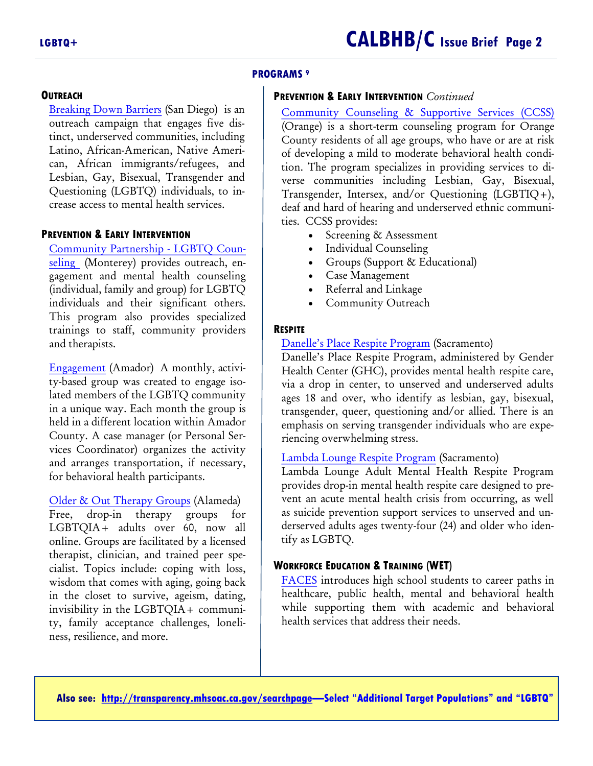## **OUTREACH**

[Breaking Down Barriers](https://www.jfssd.org/our-services/breaking-down-barriers/) (San Diego) is an outreach campaign that engages five distinct, underserved communities, including Latino, African-American, Native American, African immigrants/refugees, and Lesbian, Gay, Bisexual, Transgender and Questioning (LGBTQ) individuals, to increase access to mental health services.

## **PREVENTION & EARLY INTERVENTION**

[Community Partnership -](blob:http://transparency.mhsoac.ca.gov/c67aa69b-7601-414e-9640-27abe08cb635) LGBTQ Coun[seling](blob:http://transparency.mhsoac.ca.gov/c67aa69b-7601-414e-9640-27abe08cb635) (Monterey) provides outreach, engagement and mental health counseling (individual, family and group) for LGBTQ individuals and their significant others. This program also provides specialized trainings to staff, community providers and therapists.

[Engagement](https://www.calvoices.org/support-groups) (Amador) A monthly, activity-based group was created to engage isolated members of the LGBTQ community in a unique way. Each month the group is held in a different location within Amador County. A case manager (or Personal Services Coordinator) organizes the activity and arranges transportation, if necessary, for behavioral health participants.

[Older & Out Therapy Groups](https://www.pacificcenter.org/older-out-therapy-groups) (Alameda) Free, drop-in therapy groups for LGBTQIA+ adults over 60, now all online. Groups are facilitated by a licensed therapist, clinician, and trained peer specialist. Topics include: coping with loss, wisdom that comes with aging, going back in the closet to survive, ageism, dating, invisibility in the LGBTQIA+ community, family acceptance challenges, loneliness, resilience, and more.

## **PREVENTION & EARLY INTERVENTION** *Continued*

[Community Counseling & Supportive Services \(CCSS\)](https://www.ochealthinfo.com/about-hca/behavioral-health-services/bh-services/prevention-intervention-services/early-4) (Orange) is a short-term counseling program for Orange County residents of all age groups, who have or are at risk of developing a mild to moderate behavioral health condition. The program specializes in providing services to diverse communities including Lesbian, Gay, Bisexual, Transgender, Intersex, and/or Questioning (LGBTIQ+), deaf and hard of hearing and underserved ethnic communities. CCSS provides:

- Screening & Assessment
- Individual Counseling
- Groups (Support & Educational)
- Case Management
- Referral and Linkage
- Community Outreach

#### **RESPITE**

**PROGRAMS <sup>9</sup>**

#### [Danelle's Place Respite Program](https://www.genderhealthcenter.org/respite) (Sacramento)

Danelle's Place Respite Program, administered by Gender Health Center (GHC), provides mental health respite care, via a drop in center, to unserved and underserved adults ages 18 and over, who identify as lesbian, gay, bisexual, transgender, queer, questioning and/or allied. There is an emphasis on serving transgender individuals who are experiencing overwhelming stress.

#### [Lambda Lounge Respite Program](https://saccenter.org/mental-health) (Sacramento)

Lambda Lounge Adult Mental Health Respite Program provides drop-in mental health respite care designed to prevent an acute mental health crisis from occurring, as well as suicide prevention support services to unserved and underserved adults ages twenty-four (24) and older who identify as LGBTQ.

#### **WORKFORCE EDUCATION & TRAINING (WET)**

[FACES](https://facesforthefuture.org/about-us/our-youth/) introduces high school students to career paths in healthcare, public health, mental and behavioral health while supporting them with academic and behavioral health services that address their needs.

**Also see: http://transparency.mhsoac.ca.gov/searchpage[—Select "Additional Target Populations" and "LGBTQ"](http://transparency.mhsoac.ca.gov/searchpage)**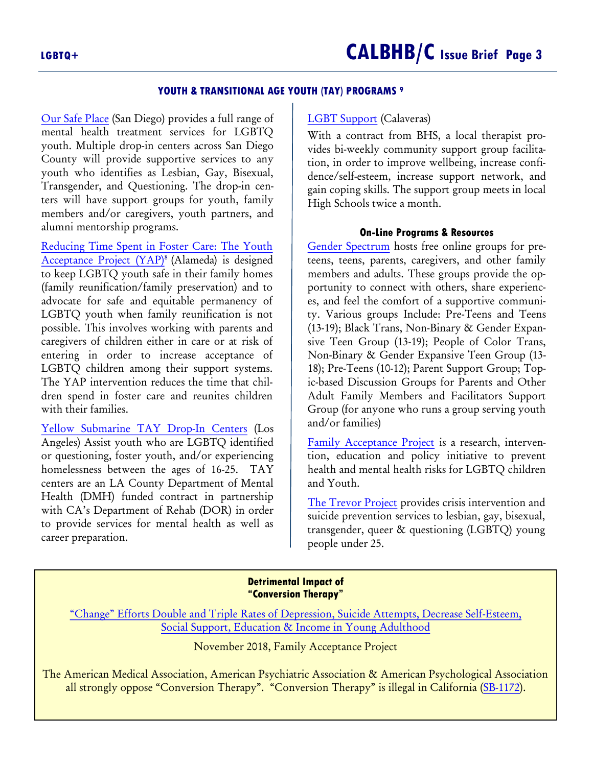#### **YOUTH & TRANSITIONAL AGE YOUTH (TAY) PROGRAMS <sup>9</sup>**

[Our Safe Place](https://sdyouthservices.org/services/our-safe-place/) (San Diego) provides a full range of mental health treatment services for LGBTQ youth. Multiple drop-in centers across San Diego County will provide supportive services to any youth who identifies as Lesbian, Gay, Bisexual, Transgender, and Questioning. The drop-in centers will have support groups for youth, family members and/or caregivers, youth partners, and alumni mentorship programs.

[Reducing Time Spent in Foster Care: The Youth](https://coanet.org/2019/01/family-builders-best-practice-for-serving-lgbtq-youth-in-foster-care/)  [Acceptance Project \(YAP\)](https://coanet.org/2019/01/family-builders-best-practice-for-serving-lgbtq-youth-in-foster-care/)<sup>8</sup>(Alameda) is designed to keep LGBTQ youth safe in their family homes (family reunification/family preservation) and to advocate for safe and equitable permanency of LGBTQ youth when family reunification is not possible. This involves working with parents and caregivers of children either in care or at risk of entering in order to increase acceptance of LGBTQ children among their support systems. The YAP intervention reduces the time that children spend in foster care and reunites children with their families.

[Yellow Submarine TAY Drop-In Centers](https://www.pennylane.org/pennylane/transitional-age-youth-tay-drop-in-center/) (Los Angeles) Assist youth who are LGBTQ identified or questioning, foster youth, and/or experiencing homelessness between the ages of 16-25. TAY centers are an LA County Department of Mental Health (DMH) funded contract in partnership with CA's Department of Rehab (DOR) in order to provide services for mental health as well as career preparation.

#### [LGBT Support](https://www.ccoe.k12.ca.us/apps/pages/index.jsp?uREC_ID=1093546&type=d&pREC_ID=2138047) (Calaveras)

With a contract from BHS, a local therapist provides bi-weekly community support group facilitation, in order to improve wellbeing, increase confidence/self-esteem, increase support network, and gain coping skills. The support group meets in local High Schools twice a month.

#### **On-Line Programs & Resources**

[Gender Spectrum](https://genderspectrum.org/articles/gender-spectrum-groups) hosts free online groups for preteens, teens, parents, caregivers, and other family members and adults. These groups provide the opportunity to connect with others, share experiences, and feel the comfort of a supportive community. Various groups Include: Pre-Teens and Teens (13-19); Black Trans, Non-Binary & Gender Expansive Teen Group (13-19); People of Color Trans, Non-Binary & Gender Expansive Teen Group (13- 18); Pre-Teens (10-12); Parent Support Group; Topic-based Discussion Groups for Parents and Other Adult Family Members and Facilitators Support Group (for anyone who runs a group serving youth and/or families)

[Family Acceptance Project](https://familyproject.sfsu.edu/) is a research, intervention, education and policy initiative to prevent health and mental health risks for LGBTQ children and Youth.

[The Trevor Project](https://www.thetrevorproject.org/?gclid=Cj0KCQjwpf2IBhDkARIsAGVo0D0R1SkOnA9cSYM42i-ul_sNGHfMAO9Evl7zBCi8OQBkyzstnPghypMaAgb3EALw_wcB) provides crisis intervention and suicide prevention services to lesbian, gay, bisexual, transgender, queer & questioning (LGBTQ) young people under 25.

#### **Detrimental Impact of "Conversion Therapy"**

["Change" Efforts Double and Triple Rates of Depression, Suicide Attempts, Decrease Self](https://familyproject.sfsu.edu/conversion-therapy-begins-at-home)-Esteem, [Social Support, Education & Income in Young Adulthood](https://familyproject.sfsu.edu/conversion-therapy-begins-at-home)

November 2018, Family Acceptance Project

The American Medical Association, American Psychiatric Association & American Psychological Association all strongly oppose "Conversion Therapy". "Conversion Therapy" is illegal in California ([SB-1172\)](https://leginfo.legislature.ca.gov/faces/billNavClient.xhtml?bill_id=201120120SB1172).